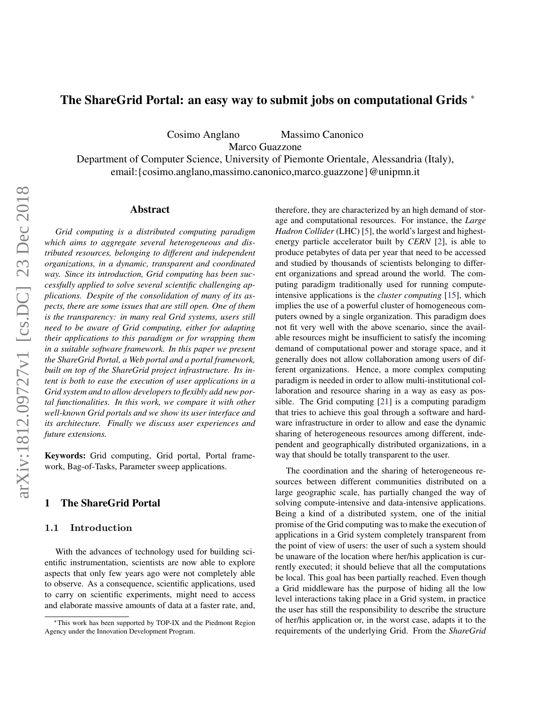# The ShareGrid Portal: an easy way to submit jobs on computational Grids <sup>∗</sup>

Cosimo Anglano Massimo Canonico

Marco Guazzone

Department of Computer Science, University of Piemonte Orientale, Alessandria (Italy), email:{cosimo.anglano,massimo.canonico,marco.guazzone}@unipmn.it

#### Abstract

*Grid computing is a distributed computing paradigm which aims to aggregate several heterogeneous and distributed resources, belonging to different and independent organizations, in a dynamic, transparent and coordinated way. Since its introduction, Grid computing has been successfully applied to solve several scientific challenging applications. Despite of the consolidation of many of its aspects, there are some issues that are still open. One of them is the transparency: in many real Grid systems, users still need to be aware of Grid computing, either for adapting their applications to this paradigm or for wrapping them in a suitable software framework. In this paper we present the ShareGrid Portal, a Web portal and a portal framework, built on top of the ShareGrid project infrastructure. Its intent is both to ease the execution of user applications in a Grid system and to allow developers to flexibly add new portal functionalities. In this work, we compare it with other well-known Grid portals and we show its user interface and its architecture. Finally we discuss user experiences and future extensions.*

Keywords: Grid computing, Grid portal, Portal framework, Bag-of-Tasks, Parameter sweep applications.

## 1 The ShareGrid Portal

#### 1.1 Introduction

With the advances of technology used for building scientific instrumentation, scientists are now able to explore aspects that only few years ago were not completely able to observe. As a consequence, scientific applications, used to carry on scientific experiments, might need to access and elaborate massive amounts of data at a faster rate, and, therefore, they are characterized by an high demand of storage and computational resources. For instance, the *Large Hadron Collider* (LHC) [\[5\]](#page-5-0), the world's largest and highestenergy particle accelerator built by *CERN* [\[2\]](#page-5-1), is able to produce petabytes of data per year that need to be accessed and studied by thousands of scientists belonging to different organizations and spread around the world. The computing paradigm traditionally used for running computeintensive applications is the *cluster computing* [\[15\]](#page-5-2), which implies the use of a powerful cluster of homogeneous computers owned by a single organization. This paradigm does not fit very well with the above scenario, since the available resources might be insufficient to satisfy the incoming demand of computational power and storage space, and it generally does not allow collaboration among users of different organizations. Hence, a more complex computing paradigm is needed in order to allow multi-institutional collaboration and resource sharing in a way as easy as possible. The Grid computing [\[21\]](#page-5-3) is a computing paradigm that tries to achieve this goal through a software and hardware infrastructure in order to allow and ease the dynamic sharing of heterogeneous resources among different, independent and geographically distributed organizations, in a way that should be totally transparent to the user.

The coordination and the sharing of heterogeneous resources between different communities distributed on a large geographic scale, has partially changed the way of solving compute-intensive and data-intensive applications. Being a kind of a distributed system, one of the initial promise of the Grid computing was to make the execution of applications in a Grid system completely transparent from the point of view of users: the user of such a system should be unaware of the location where her/his application is currently executed; it should believe that all the computations be local. This goal has been partially reached. Even though a Grid middleware has the purpose of hiding all the low level interactions taking place in a Grid system, in practice the user has still the responsibility to describe the structure of her/his application or, in the worst case, adapts it to the requirements of the underlying Grid. From the *ShareGrid*

<sup>∗</sup>This work has been supported by TOP-IX and the Piedmont Region Agency under the Innovation Development Program.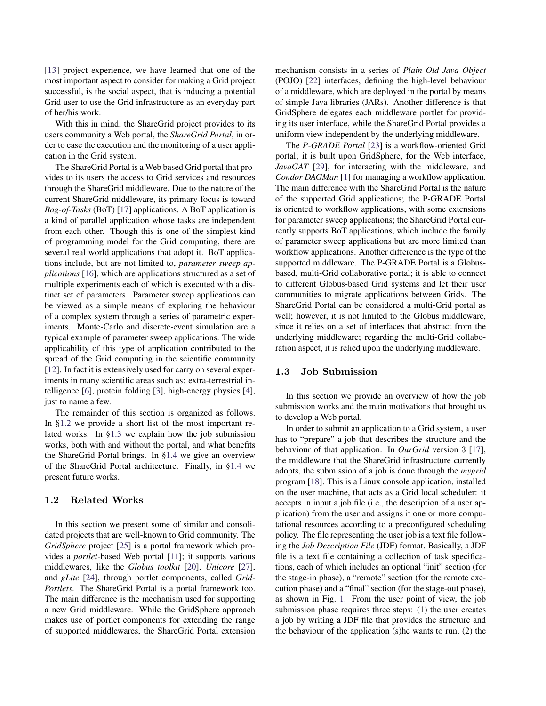[\[13\]](#page-5-4) project experience, we have learned that one of the most important aspect to consider for making a Grid project successful, is the social aspect, that is inducing a potential Grid user to use the Grid infrastructure as an everyday part of her/his work.

With this in mind, the ShareGrid project provides to its users community a Web portal, the *ShareGrid Portal*, in order to ease the execution and the monitoring of a user application in the Grid system.

The ShareGrid Portal is a Web based Grid portal that provides to its users the access to Grid services and resources through the ShareGrid middleware. Due to the nature of the current ShareGrid middleware, its primary focus is toward *Bag-of-Tasks* (BoT) [\[17\]](#page-5-5) applications. A BoT application is a kind of parallel application whose tasks are independent from each other. Though this is one of the simplest kind of programming model for the Grid computing, there are several real world applications that adopt it. BoT applications include, but are not limited to, *parameter sweep applications* [\[16\]](#page-5-6), which are applications structured as a set of multiple experiments each of which is executed with a distinct set of parameters. Parameter sweep applications can be viewed as a simple means of exploring the behaviour of a complex system through a series of parametric experiments. Monte-Carlo and discrete-event simulation are a typical example of parameter sweep applications. The wide applicability of this type of application contributed to the spread of the Grid computing in the scientific community [\[12\]](#page-5-7). In fact it is extensively used for carry on several experiments in many scientific areas such as: extra-terrestrial intelligence [\[6\]](#page-5-8), protein folding [\[3\]](#page-5-9), high-energy physics [\[4\]](#page-5-10), just to name a few.

The remainder of this section is organized as follows. In [§1.2](#page-1-0) we provide a short list of the most important related works. In [§1.3](#page-1-1) we explain how the job submission works, both with and without the portal, and what benefits the ShareGrid Portal brings. In [§1.4](#page-4-0) we give an overview of the ShareGrid Portal architecture. Finally, in [§1.4](#page-4-0) we present future works.

#### <span id="page-1-0"></span>1.2 Related Works

In this section we present some of similar and consolidated projects that are well-known to Grid community. The *GridSphere* project [\[25\]](#page-5-11) is a portal framework which provides a *portlet*-based Web portal [\[11\]](#page-5-12); it supports various middlewares, like the *Globus toolkit* [\[20\]](#page-5-13), *Unicore* [\[27\]](#page-5-14), and *gLite* [\[24\]](#page-5-15), through portlet components, called *Grid-Portlets*. The ShareGrid Portal is a portal framework too. The main difference is the mechanism used for supporting a new Grid middleware. While the GridSphere approach makes use of portlet components for extending the range of supported middlewares, the ShareGrid Portal extension mechanism consists in a series of *Plain Old Java Object* (POJO) [\[22\]](#page-5-16) interfaces, defining the high-level behaviour of a middleware, which are deployed in the portal by means of simple Java libraries (JARs). Another difference is that GridSphere delegates each middleware portlet for providing its user interface, while the ShareGrid Portal provides a uniform view independent by the underlying middleware.

The *P-GRADE Portal* [\[23\]](#page-5-17) is a workflow-oriented Grid portal; it is built upon GridSphere, for the Web interface, *JavaGAT* [\[29\]](#page-5-18), for interacting with the middleware, and *Condor DAGMan* [\[1\]](#page-5-19) for managing a workflow application. The main difference with the ShareGrid Portal is the nature of the supported Grid applications; the P-GRADE Portal is oriented to workflow applications, with some extensions for parameter sweep applications; the ShareGrid Portal currently supports BoT applications, which include the family of parameter sweep applications but are more limited than workflow applications. Another difference is the type of the supported middleware. The P-GRADE Portal is a Globusbased, multi-Grid collaborative portal; it is able to connect to different Globus-based Grid systems and let their user communities to migrate applications between Grids. The ShareGrid Portal can be considered a multi-Grid portal as well; however, it is not limited to the Globus middleware. since it relies on a set of interfaces that abstract from the underlying middleware; regarding the multi-Grid collaboration aspect, it is relied upon the underlying middleware.

## <span id="page-1-1"></span>1.3 Job Submission

In this section we provide an overview of how the job submission works and the main motivations that brought us to develop a Web portal.

In order to submit an application to a Grid system, a user has to "prepare" a job that describes the structure and the behaviour of that application. In *OurGrid* version 3 [\[17\]](#page-5-5), the middleware that the ShareGrid infrastructure currently adopts, the submission of a job is done through the *mygrid* program [\[18\]](#page-5-20). This is a Linux console application, installed on the user machine, that acts as a Grid local scheduler: it accepts in input a job file (i.e., the description of a user application) from the user and assigns it one or more computational resources according to a preconfigured scheduling policy. The file representing the user job is a text file following the *Job Description File* (JDF) format. Basically, a JDF file is a text file containing a collection of task specifications, each of which includes an optional "init" section (for the stage-in phase), a "remote" section (for the remote execution phase) and a "final" section (for the stage-out phase), as shown in Fig. [1.](#page-2-0) From the user point of view, the job submission phase requires three steps: (1) the user creates a job by writing a JDF file that provides the structure and the behaviour of the application (s)he wants to run, (2) the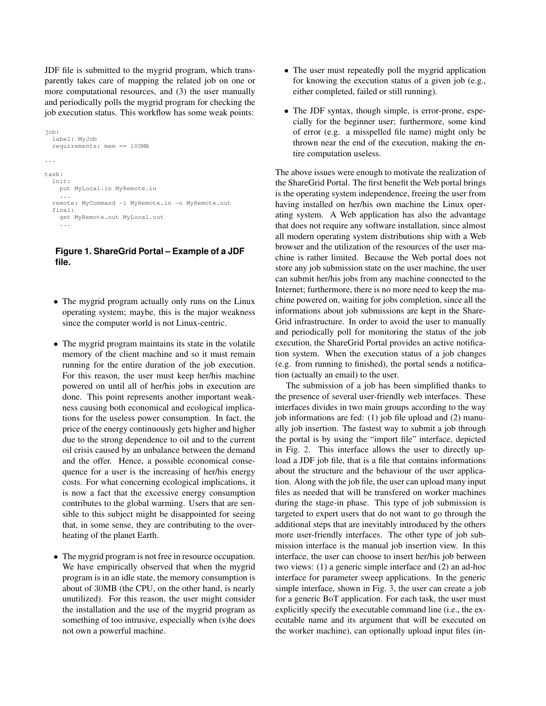JDF file is submitted to the mygrid program, which transparently takes care of mapping the related job on one or more computational resources, and (3) the user manually and periodically polls the mygrid program for checking the job execution status. This workflow has some weak points:

```
job:
  label: MyJob
  requirements: mem == 100MB
...
task:
  init:
    put MyLocal.in MyRemote.in
    ...
  remote: MyCommand -i MyRemote.in -o MyRemote.out
  final:
    get MyRemote.out MyLocal.out
    ...
```
## <span id="page-2-0"></span>**Figure 1. ShareGrid Portal – Example of a JDF file.**

- The mygrid program actually only runs on the Linux operating system; maybe, this is the major weakness since the computer world is not Linux-centric.
- The mygrid program maintains its state in the volatile memory of the client machine and so it must remain running for the entire duration of the job execution. For this reason, the user must keep her/his machine powered on until all of her/his jobs in execution are done. This point represents another important weakness causing both economical and ecological implications for the useless power consumption. In fact, the price of the energy continuously gets higher and higher due to the strong dependence to oil and to the current oil crisis caused by an unbalance between the demand and the offer. Hence, a possible economical consequence for a user is the increasing of her/his energy costs. For what concerning ecological implications, it is now a fact that the excessive energy consumption contributes to the global warming. Users that are sensible to this subject might be disappointed for seeing that, in some sense, they are contributing to the overheating of the planet Earth.
- The mygrid program is not free in resource occupation. We have empirically observed that when the mygrid program is in an idle state, the memory consumption is about of 30MB (the CPU, on the other hand, is nearly unutilized). For this reason, the user might consider the installation and the use of the mygrid program as something of too intrusive, especially when (s)he does not own a powerful machine.
- The user must repeatedly poll the mygrid application for knowing the execution status of a given job (e.g., either completed, failed or still running).
- The JDF syntax, though simple, is error-prone, especially for the beginner user; furthermore, some kind of error (e.g. a misspelled file name) might only be thrown near the end of the execution, making the entire computation useless.

The above issues were enough to motivate the realization of the ShareGrid Portal. The first benefit the Web portal brings is the operating system independence, freeing the user from having installed on her/his own machine the Linux operating system. A Web application has also the advantage that does not require any software installation, since almost all modern operating system distributions ship with a Web browser and the utilization of the resources of the user machine is rather limited. Because the Web portal does not store any job submission state on the user machine, the user can submit her/his jobs from any machine connected to the Internet; furthermore, there is no more need to keep the machine powered on, waiting for jobs completion, since all the informations about job submissions are kept in the Share-Grid infrastructure. In order to avoid the user to manually and periodically poll for monitoring the status of the job execution, the ShareGrid Portal provides an active notification system. When the execution status of a job changes (e.g. from running to finished), the portal sends a notification (actually an email) to the user.

The submission of a job has been simplified thanks to the presence of several user-friendly web interfaces. These interfaces divides in two main groups according to the way job informations are fed: (1) job file upload and (2) manually job insertion. The fastest way to submit a job through the portal is by using the "import file" interface, depicted in Fig. [2.](#page-3-0) This interface allows the user to directly upload a JDF job file, that is a file that contains informations about the structure and the behaviour of the user application. Along with the job file, the user can upload many input files as needed that will be transfered on worker machines during the stage-in phase. This type of job submission is targeted to expert users that do not want to go through the additional steps that are inevitably introduced by the others more user-friendly interfaces. The other type of job submission interface is the manual job insertion view. In this interface, the user can choose to insert her/his job between two views: (1) a generic simple interface and (2) an ad-hoc interface for parameter sweep applications. In the generic simple interface, shown in Fig. [3,](#page-3-1) the user can create a job for a generic BoT application. For each task, the user must explicitly specify the executable command line (i.e., the executable name and its argument that will be executed on the worker machine), can optionally upload input files (in-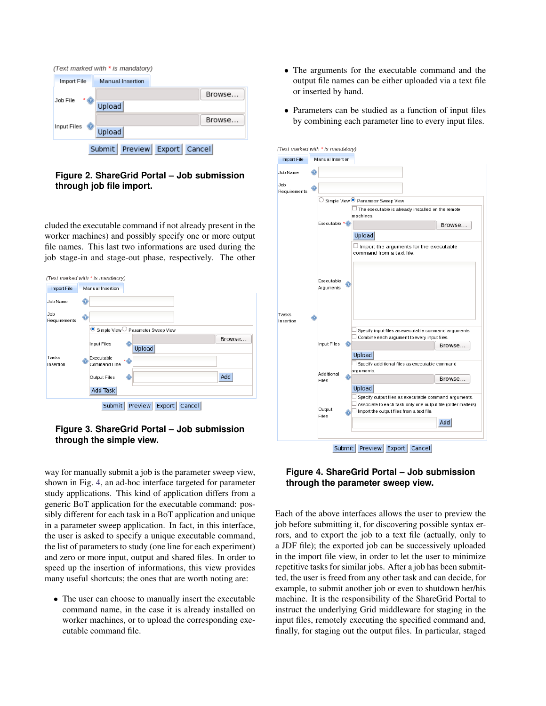| (Text marked with * is mandatory)      |                         |
|----------------------------------------|-------------------------|
| Import File                            | <b>Manual</b> Insertion |
| Job File                               | Browse<br>Upload        |
| Input Files                            | Browse<br>Upload        |
| Preview<br>Submit  <br>Export   Cancel |                         |

<span id="page-3-0"></span>**Figure 2. ShareGrid Portal – Job submission through job file import.**

cluded the executable command if not already present in the worker machines) and possibly specify one or more output file names. This last two informations are used during the job stage-in and stage-out phase, respectively. The other



<span id="page-3-1"></span>

way for manually submit a job is the parameter sweep view, shown in Fig. [4,](#page-3-2) an ad-hoc interface targeted for parameter study applications. This kind of application differs from a generic BoT application for the executable command: possibly different for each task in a BoT application and unique in a parameter sweep application. In fact, in this interface, the user is asked to specify a unique executable command, the list of parameters to study (one line for each experiment) and zero or more input, output and shared files. In order to speed up the insertion of informations, this view provides many useful shortcuts; the ones that are worth noting are:

• The user can choose to manually insert the executable command name, in the case it is already installed on worker machines, or to upload the corresponding executable command file.

- The arguments for the executable command and the output file names can be either uploaded via a text file or inserted by hand.
- Parameters can be studied as a function of input files by combining each parameter line to every input files.



# <span id="page-3-2"></span>**Figure 4. ShareGrid Portal – Job submission through the parameter sweep view.**

Each of the above interfaces allows the user to preview the job before submitting it, for discovering possible syntax errors, and to export the job to a text file (actually, only to a JDF file); the exported job can be successively uploaded in the import file view, in order to let the user to minimize repetitive tasks for similar jobs. After a job has been submitted, the user is freed from any other task and can decide, for example, to submit another job or even to shutdown her/his machine. It is the responsibility of the ShareGrid Portal to instruct the underlying Grid middleware for staging in the input files, remotely executing the specified command and, finally, for staging out the output files. In particular, staged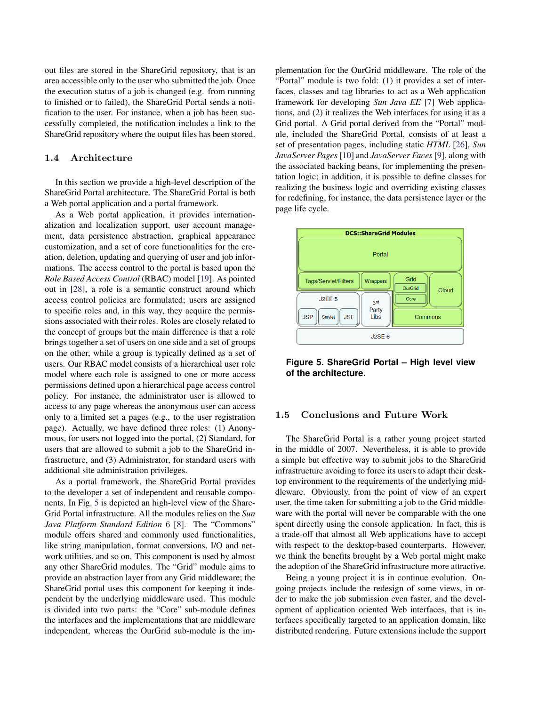out files are stored in the ShareGrid repository, that is an area accessible only to the user who submitted the job. Once the execution status of a job is changed (e.g. from running to finished or to failed), the ShareGrid Portal sends a notification to the user. For instance, when a job has been successfully completed, the notification includes a link to the ShareGrid repository where the output files has been stored.

#### <span id="page-4-0"></span>1.4 Architecture

In this section we provide a high-level description of the ShareGrid Portal architecture. The ShareGrid Portal is both a Web portal application and a portal framework.

As a Web portal application, it provides internationalization and localization support, user account management, data persistence abstraction, graphical appearance customization, and a set of core functionalities for the creation, deletion, updating and querying of user and job informations. The access control to the portal is based upon the *Role Based Access Control* (RBAC) model [\[19\]](#page-5-21). As pointed out in [\[28\]](#page-5-22), a role is a semantic construct around which access control policies are formulated; users are assigned to specific roles and, in this way, they acquire the permissions associated with their roles. Roles are closely related to the concept of groups but the main difference is that a role brings together a set of users on one side and a set of groups on the other, while a group is typically defined as a set of users. Our RBAC model consists of a hierarchical user role model where each role is assigned to one or more access permissions defined upon a hierarchical page access control policy. For instance, the administrator user is allowed to access to any page whereas the anonymous user can access only to a limited set a pages (e.g., to the user registration page). Actually, we have defined three roles: (1) Anonymous, for users not logged into the portal, (2) Standard, for users that are allowed to submit a job to the ShareGrid infrastructure, and (3) Administrator, for standard users with additional site administration privileges.

As a portal framework, the ShareGrid Portal provides to the developer a set of independent and reusable components. In Fig. [5](#page-4-1) is depicted an high-level view of the Share-Grid Portal infrastructure. All the modules relies on the *Sun Java Platform Standard Edition* 6 [\[8\]](#page-5-23). The "Commons" module offers shared and commonly used functionalities, like string manipulation, format conversions, I/O and network utilities, and so on. This component is used by almost any other ShareGrid modules. The "Grid" module aims to provide an abstraction layer from any Grid middleware; the ShareGrid portal uses this component for keeping it independent by the underlying middleware used. This module is divided into two parts: the "Core" sub-module defines the interfaces and the implementations that are middleware independent, whereas the OurGrid sub-module is the implementation for the OurGrid middleware. The role of the "Portal" module is two fold: (1) it provides a set of interfaces, classes and tag libraries to act as a Web application framework for developing *Sun Java EE* [\[7\]](#page-5-24) Web applications, and (2) it realizes the Web interfaces for using it as a Grid portal. A Grid portal derived from the "Portal" module, included the ShareGrid Portal, consists of at least a set of presentation pages, including static *HTML* [\[26\]](#page-5-25), *Sun JavaServer Pages* [\[10\]](#page-5-26) and *JavaServer Faces* [\[9\]](#page-5-27), along with the associated backing beans, for implementing the presentation logic; in addition, it is possible to define classes for realizing the business logic and overriding existing classes for redefining, for instance, the data persistence layer or the page life cycle.



<span id="page-4-1"></span>**Figure 5. ShareGrid Portal – High level view of the architecture.**

#### 1.5 Conclusions and Future Work

The ShareGrid Portal is a rather young project started in the middle of 2007. Nevertheless, it is able to provide a simple but effective way to submit jobs to the ShareGrid infrastructure avoiding to force its users to adapt their desktop environment to the requirements of the underlying middleware. Obviously, from the point of view of an expert user, the time taken for submitting a job to the Grid middleware with the portal will never be comparable with the one spent directly using the console application. In fact, this is a trade-off that almost all Web applications have to accept with respect to the desktop-based counterparts. However, we think the benefits brought by a Web portal might make the adoption of the ShareGrid infrastructure more attractive.

Being a young project it is in continue evolution. Ongoing projects include the redesign of some views, in order to make the job submission even faster, and the development of application oriented Web interfaces, that is interfaces specifically targeted to an application domain, like distributed rendering. Future extensions include the support